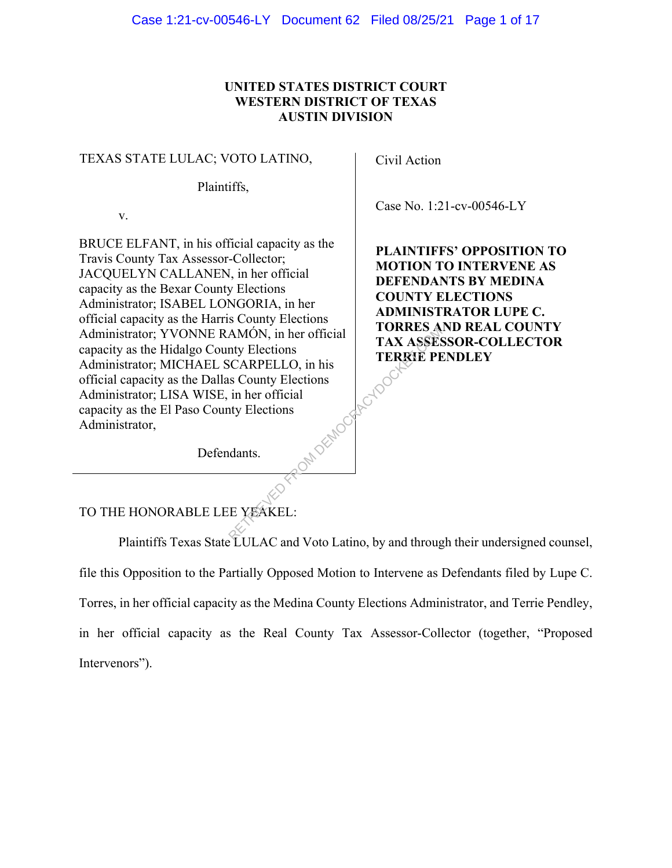### **UNITED STATES DISTRICT COURT WESTERN DISTRICT OF TEXAS AUSTIN DIVISION**

#### TEXAS STATE LULAC; VOTO LATINO,

Plaintiffs,

v.

BRUCE ELFANT, in his official capacity as the Travis County Tax Assessor-Collector; JACQUELYN CALLANEN, in her official capacity as the Bexar County Elections Administrator; ISABEL LONGORIA, in her official capacity as the Harris County Elections Administrator; YVONNE RAMÓN, in her official capacity as the Hidalgo County Elections Administrator; MICHAEL SCARPELLO, in his official capacity as the Dallas County Elections Administrator; LISA WISE, in her official capacity as the El Paso County Elections Administrator, RADER ACY Civil Action

Case No. 1:21-cv-00546-LY

**PLAINTIFFS' OPPOSITION TO MOTION TO INTERVENE AS DEFENDANTS BY MEDINA COUNTY ELECTIONS ADMINISTRATOR LUPE C. TORRES AND REAL COUNTY TAX ASSESSOR-COLLECTOR TERRIE PENDLEY** 

Defendants.

## TO THE HONORABLE LEE YEAKEL:

Plaintiffs Texas State LULAC and Voto Latino, by and through their undersigned counsel, file this Opposition to the Partially Opposed Motion to Intervene as Defendants filed by Lupe C. Torres, in her official capacity as the Medina County Elections Administrator, and Terrie Pendley, in her official capacity as the Real County Tax Assessor-Collector (together, "Proposed Intervenors").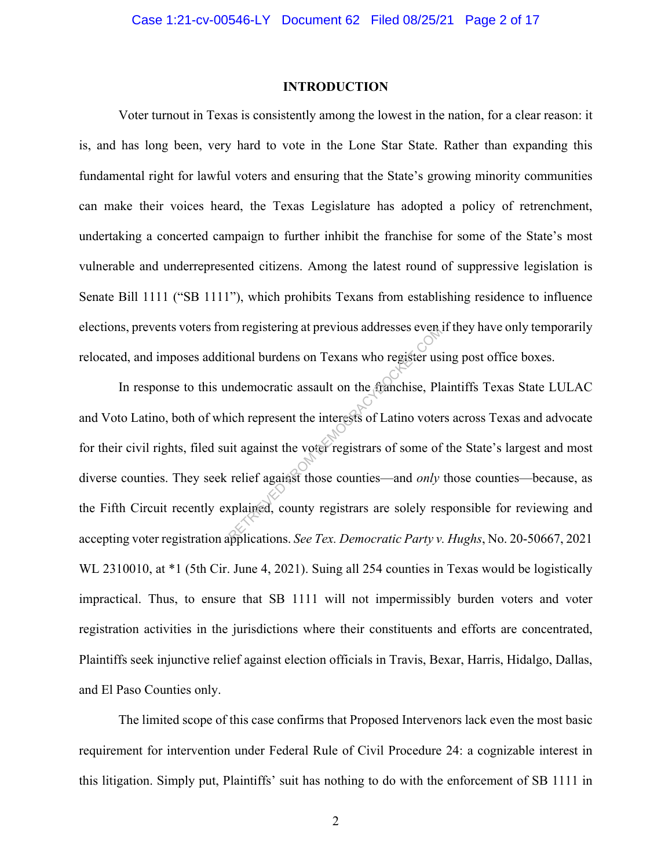#### **INTRODUCTION**

Voter turnout in Texas is consistently among the lowest in the nation, for a clear reason: it is, and has long been, very hard to vote in the Lone Star State. Rather than expanding this fundamental right for lawful voters and ensuring that the State's growing minority communities can make their voices heard, the Texas Legislature has adopted a policy of retrenchment, undertaking a concerted campaign to further inhibit the franchise for some of the State's most vulnerable and underrepresented citizens. Among the latest round of suppressive legislation is Senate Bill 1111 ("SB 1111"), which prohibits Texans from establishing residence to influence elections, prevents voters from registering at previous addresses even if they have only temporarily relocated, and imposes additional burdens on Texans who register using post office boxes.

In response to this undemocratic assault on the franchise, Plaintiffs Texas State LULAC and Voto Latino, both of which represent the interests of Latino voters across Texas and advocate for their civil rights, filed suit against the voter registrars of some of the State's largest and most diverse counties. They seek relief against those counties—and *only* those counties—because, as the Fifth Circuit recently explained, county registrars are solely responsible for reviewing and accepting voter registration applications. *See Tex. Democratic Party v. Hughs*, No. 20-50667, 2021 WL 2310010, at  $*1$  (5th Cir. June 4, 2021). Suing all 254 counties in Texas would be logistically impractical. Thus, to ensure that SB 1111 will not impermissibly burden voters and voter registration activities in the jurisdictions where their constituents and efforts are concentrated, Plaintiffs seek injunctive relief against election officials in Travis, Bexar, Harris, Hidalgo, Dallas, and El Paso Counties only. In registering at previous addresses events<br>
ional burdens on Texans who register us<br>
indemocratic assault on the franchise, Pla<br>
ich represent the interests of Latino voter<br>
it against the voter registrars of some of<br>
rel

The limited scope of this case confirms that Proposed Intervenors lack even the most basic requirement for intervention under Federal Rule of Civil Procedure 24: a cognizable interest in this litigation. Simply put, Plaintiffs' suit has nothing to do with the enforcement of SB 1111 in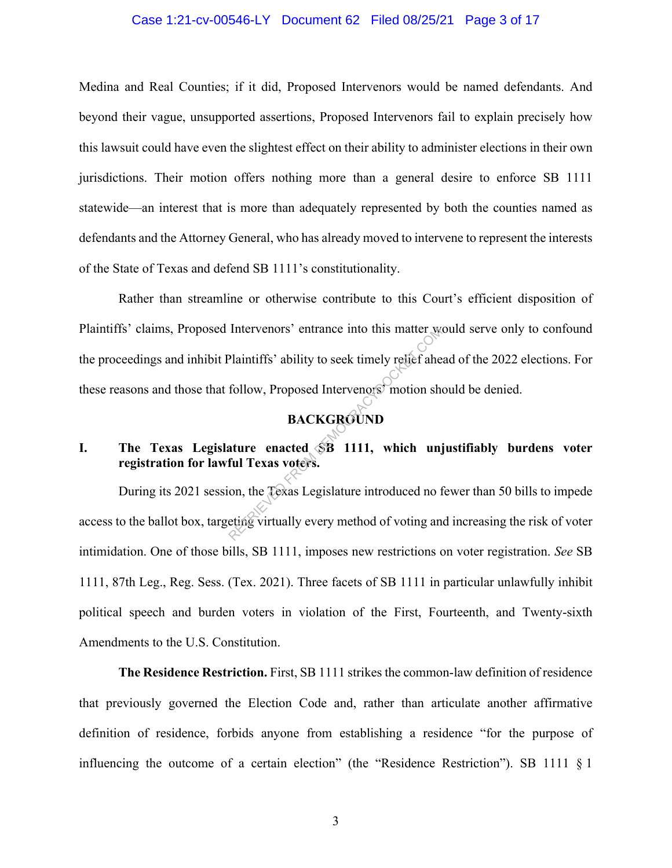#### Case 1:21-cv-00546-LY Document 62 Filed 08/25/21 Page 3 of 17

Medina and Real Counties; if it did, Proposed Intervenors would be named defendants. And beyond their vague, unsupported assertions, Proposed Intervenors fail to explain precisely how this lawsuit could have even the slightest effect on their ability to administer elections in their own jurisdictions. Their motion offers nothing more than a general desire to enforce SB 1111 statewide—an interest that is more than adequately represented by both the counties named as defendants and the Attorney General, who has already moved to intervene to represent the interests of the State of Texas and defend SB 1111's constitutionality.

Rather than streamline or otherwise contribute to this Court's efficient disposition of Plaintiffs' claims, Proposed Intervenors' entrance into this matter would serve only to confound the proceedings and inhibit Plaintiffs' ability to seek timely relief ahead of the 2022 elections. For these reasons and those that follow, Proposed Intervenors' motion should be denied. Thervenors' entrance into this matter we<br>Plaintiffs' ability to seek timely relief ahe<br>follow, Proposed Intervenors' motion she<br>**BACKGROUND**<br>ature enacted SB 1111, which unj<br>ful Texas voters.<br>on, the Texas Legislature intr

## **BACKGROUND**

## **I. The Texas Legislature enacted SB 1111, which unjustifiably burdens voter registration for lawful Texas voters.**

During its 2021 session, the Texas Legislature introduced no fewer than 50 bills to impede access to the ballot box, targeting virtually every method of voting and increasing the risk of voter intimidation. One of those bills, SB 1111, imposes new restrictions on voter registration. *See* SB 1111, 87th Leg., Reg. Sess. (Tex. 2021). Three facets of SB 1111 in particular unlawfully inhibit political speech and burden voters in violation of the First, Fourteenth, and Twenty-sixth Amendments to the U.S. Constitution.

**The Residence Restriction.** First, SB 1111 strikes the common-law definition of residence that previously governed the Election Code and, rather than articulate another affirmative definition of residence, forbids anyone from establishing a residence "for the purpose of influencing the outcome of a certain election" (the "Residence Restriction"). SB 1111 § 1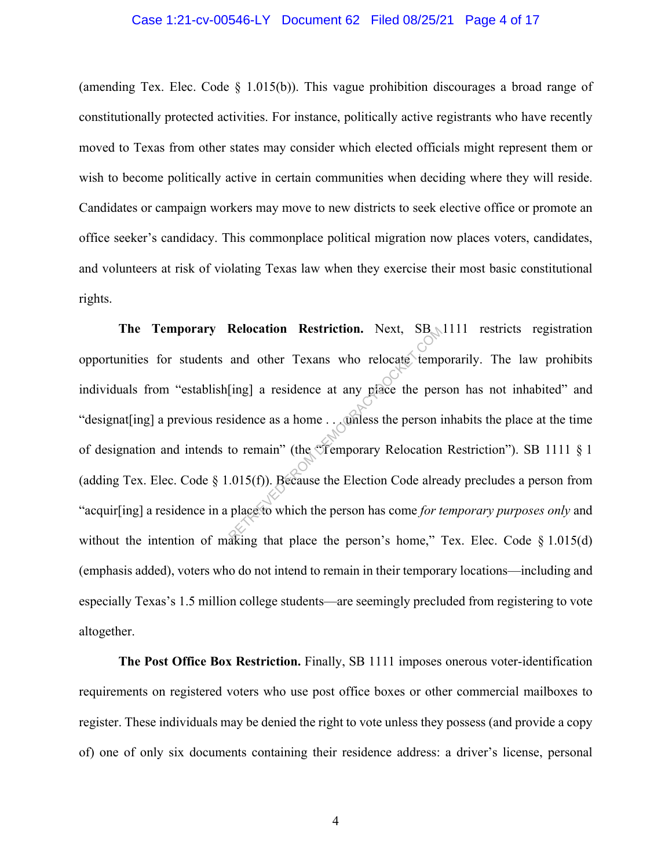#### Case 1:21-cv-00546-LY Document 62 Filed 08/25/21 Page 4 of 17

(amending Tex. Elec. Code § 1.015(b)). This vague prohibition discourages a broad range of constitutionally protected activities. For instance, politically active registrants who have recently moved to Texas from other states may consider which elected officials might represent them or wish to become politically active in certain communities when deciding where they will reside. Candidates or campaign workers may move to new districts to seek elective office or promote an office seeker's candidacy. This commonplace political migration now places voters, candidates, and volunteers at risk of violating Texas law when they exercise their most basic constitutional rights.

The Temporary Relocation Restriction. Next, SB 1111 restricts registration opportunities for students and other Texans who relocate temporarily. The law prohibits individuals from "establish[ing] a residence at any place the person has not inhabited" and "designat[ing] a previous residence as a home . . . unless the person inhabits the place at the time of designation and intends to remain" (the "Temporary Relocation Restriction"). SB 1111 § 1 (adding Tex. Elec. Code  $\S$  1.015(f)). Because the Election Code already precludes a person from "acquir[ing] a residence in a place to which the person has come *for temporary purposes only* and without the intention of making that place the person's home," Tex. Elec. Code  $\S 1.015(d)$ (emphasis added), voters who do not intend to remain in their temporary locations—including and especially Texas's 1.5 million college students—are seemingly precluded from registering to vote altogether. Relocation Restriction. Next, SB,<br>and other Texans who relocate temp<br>[ing] a residence at any place the person is<br>sidence as a home... omless the person is<br>to remain" (the Temporary Relocation<br>.015(f)). Because the Electi

**The Post Office Box Restriction.** Finally, SB 1111 imposes onerous voter-identification requirements on registered voters who use post office boxes or other commercial mailboxes to register. These individuals may be denied the right to vote unless they possess (and provide a copy of) one of only six documents containing their residence address: a driver's license, personal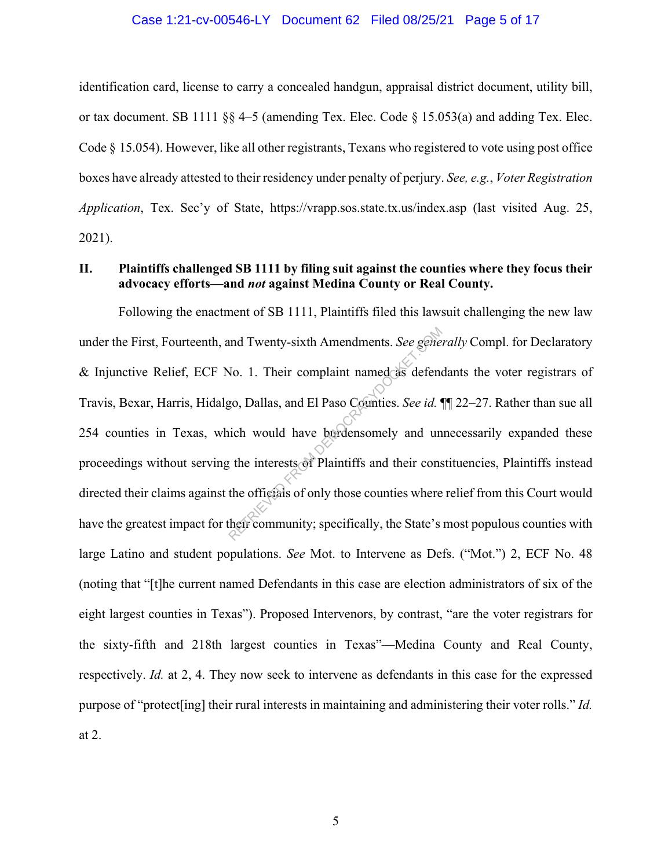#### Case 1:21-cv-00546-LY Document 62 Filed 08/25/21 Page 5 of 17

identification card, license to carry a concealed handgun, appraisal district document, utility bill, or tax document. SB 1111  $\$ § 4–5 (amending Tex. Elec. Code  $\$ 15.053(a) and adding Tex. Elec. Code § 15.054). However, like all other registrants, Texans who registered to vote using post office boxes have already attested to their residency under penalty of perjury. *See, e.g.*, *Voter Registration Application*, Tex. Sec'y of State, https://vrapp.sos.state.tx.us/index.asp (last visited Aug. 25, 2021).

### **II. Plaintiffs challenged SB 1111 by filing suit against the counties where they focus their advocacy efforts—and** *not* **against Medina County or Real County.**

Following the enactment of SB 1111, Plaintiffs filed this lawsuit challenging the new law under the First, Fourteenth, and Twenty-sixth Amendments. *See generally* Compl. for Declaratory & Injunctive Relief, ECF No. 1. Their complaint named as defendants the voter registrars of Travis, Bexar, Harris, Hidalgo, Dallas, and El Paso Counties. *See id.* ¶¶ 22–27. Rather than sue all 254 counties in Texas, which would have burdensomely and unnecessarily expanded these proceedings without serving the interests of Plaintiffs and their constituencies, Plaintiffs instead directed their claims against the officials of only those counties where relief from this Court would have the greatest impact for their community; specifically, the State's most populous counties with large Latino and student populations. *See* Mot. to Intervene as Defs. ("Mot.") 2, ECF No. 48 (noting that "[t]he current named Defendants in this case are election administrators of six of the eight largest counties in Texas"). Proposed Intervenors, by contrast, "are the voter registrars for the sixty-fifth and 218th largest counties in Texas"—Medina County and Real County, respectively. *Id.* at 2, 4. They now seek to intervene as defendants in this case for the expressed purpose of "protect[ing] their rural interests in maintaining and administering their voter rolls." *Id.* at 2. and Twenty-sixth Amendments. See gene<br>
No. 1. Their complaint named as defend<br>
go, Dallas, and El Paso Counties. See id.<br>
iich would have burdensomely and un<br>
the interests of Plaintiffs and their cons<br>
the officials of on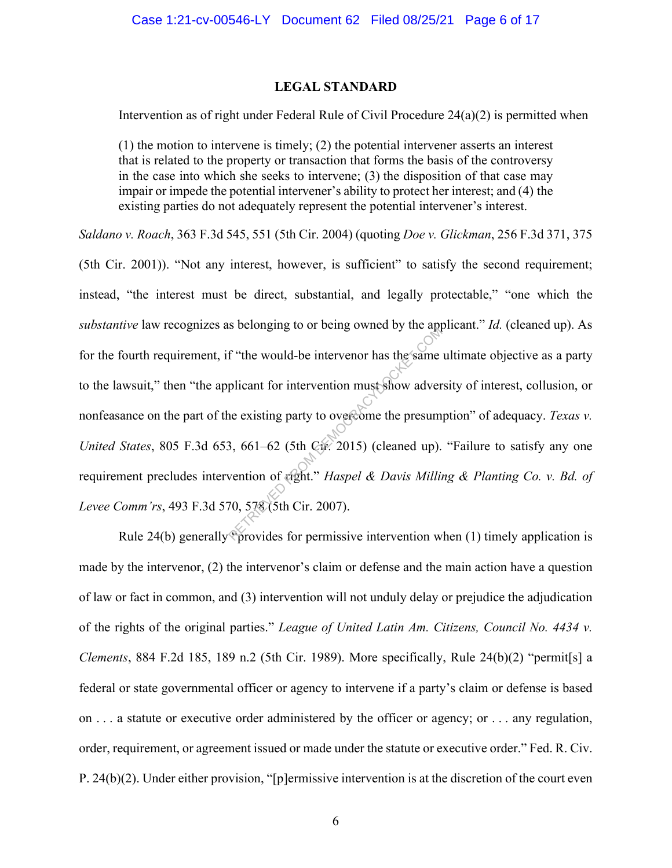#### **LEGAL STANDARD**

Intervention as of right under Federal Rule of Civil Procedure 24(a)(2) is permitted when

(1) the motion to intervene is timely; (2) the potential intervener asserts an interest that is related to the property or transaction that forms the basis of the controversy in the case into which she seeks to intervene; (3) the disposition of that case may impair or impede the potential intervener's ability to protect her interest; and (4) the existing parties do not adequately represent the potential intervener's interest.

*Saldano v. Roach*, 363 F.3d 545, 551 (5th Cir. 2004) (quoting *Doe v. Glickman*, 256 F.3d 371, 375

(5th Cir. 2001)). "Not any interest, however, is sufficient" to satisfy the second requirement; instead, "the interest must be direct, substantial, and legally protectable," "one which the *substantive* law recognizes as belonging to or being owned by the applicant." *Id.* (cleaned up). As for the fourth requirement, if "the would-be intervenor has the same ultimate objective as a party to the lawsuit," then "the applicant for intervention must show adversity of interest, collusion, or nonfeasance on the part of the existing party to overcome the presumption" of adequacy. *Texas v. United States*, 805 F.3d 653, 661–62 (5th Cir. 2015) (cleaned up). "Failure to satisfy any one requirement precludes intervention of right." *Haspel & Davis Milling & Planting Co. v. Bd. of Levee Comm'rs*, 493 F.3d 570, 578 (5th Cir. 2007). f "the would-be intervenor has the same<br>plicant for intervention must show adver<br>ne existing party to overcome the presum<br>3, 661–62 (5th Cir. 2015) (cleaned up).<br>wention of cight." *Haspel & Davis Millin*<br>70, 578 (5th Cir

Rule 24(b) generally "provides for permissive intervention when (1) timely application is made by the intervenor, (2) the intervenor's claim or defense and the main action have a question of law or fact in common, and (3) intervention will not unduly delay or prejudice the adjudication of the rights of the original parties." *League of United Latin Am. Citizens, Council No. 4434 v. Clements*, 884 F.2d 185, 189 n.2 (5th Cir. 1989). More specifically, Rule 24(b)(2) "permit[s] a federal or state governmental officer or agency to intervene if a party's claim or defense is based on . . . a statute or executive order administered by the officer or agency; or . . . any regulation, order, requirement, or agreement issued or made under the statute or executive order." Fed. R. Civ. P. 24(b)(2). Under either provision, "[p]ermissive intervention is at the discretion of the court even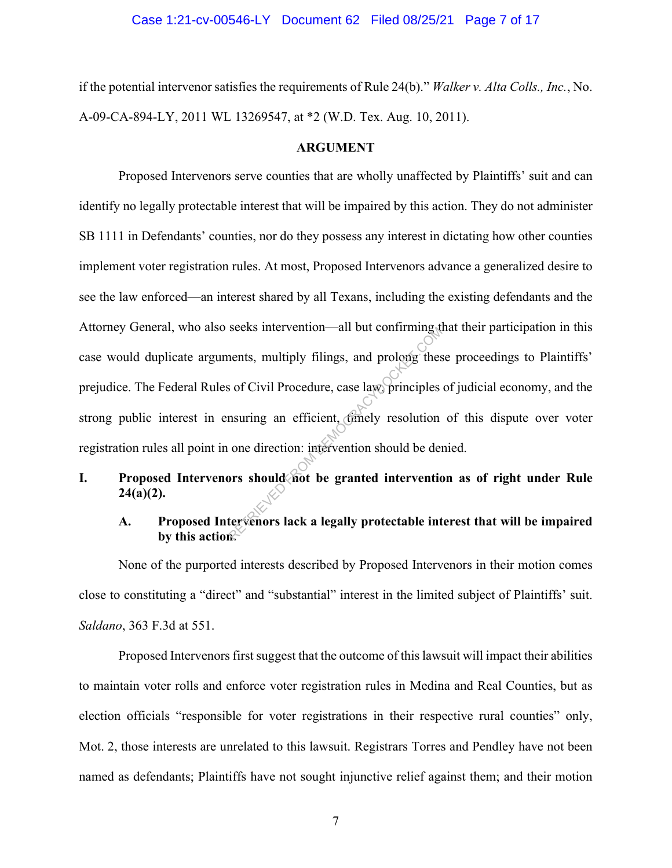if the potential intervenor satisfies the requirements of Rule 24(b)." *Walker v. Alta Colls., Inc.*, No. A-09-CA-894-LY, 2011 WL 13269547, at \*2 (W.D. Tex. Aug. 10, 2011).

#### **ARGUMENT**

Proposed Intervenors serve counties that are wholly unaffected by Plaintiffs' suit and can identify no legally protectable interest that will be impaired by this action. They do not administer SB 1111 in Defendants' counties, nor do they possess any interest in dictating how other counties implement voter registration rules. At most, Proposed Intervenors advance a generalized desire to see the law enforced—an interest shared by all Texans, including the existing defendants and the Attorney General, who also seeks intervention—all but confirming that their participation in this case would duplicate arguments, multiply filings, and prolong these proceedings to Plaintiffs' prejudice. The Federal Rules of Civil Procedure, case law, principles of judicial economy, and the strong public interest in ensuring an efficient, of the resolution of this dispute over voter registration rules all point in one direction: intervention should be denied. Seeks intervention—air out committing websers intervention—air out committing these solutions in the second of the second one direction: intervention should be denoted interventions should not be granted interventions and

## **I. Proposed Intervenors should not be granted intervention as of right under Rule 24(a)(2).**

### **A. Proposed Intervenors lack a legally protectable interest that will be impaired by this action.**

None of the purported interests described by Proposed Intervenors in their motion comes close to constituting a "direct" and "substantial" interest in the limited subject of Plaintiffs' suit. *Saldano*, 363 F.3d at 551.

Proposed Intervenors first suggest that the outcome of this lawsuit will impact their abilities to maintain voter rolls and enforce voter registration rules in Medina and Real Counties, but as election officials "responsible for voter registrations in their respective rural counties" only, Mot. 2, those interests are unrelated to this lawsuit. Registrars Torres and Pendley have not been named as defendants; Plaintiffs have not sought injunctive relief against them; and their motion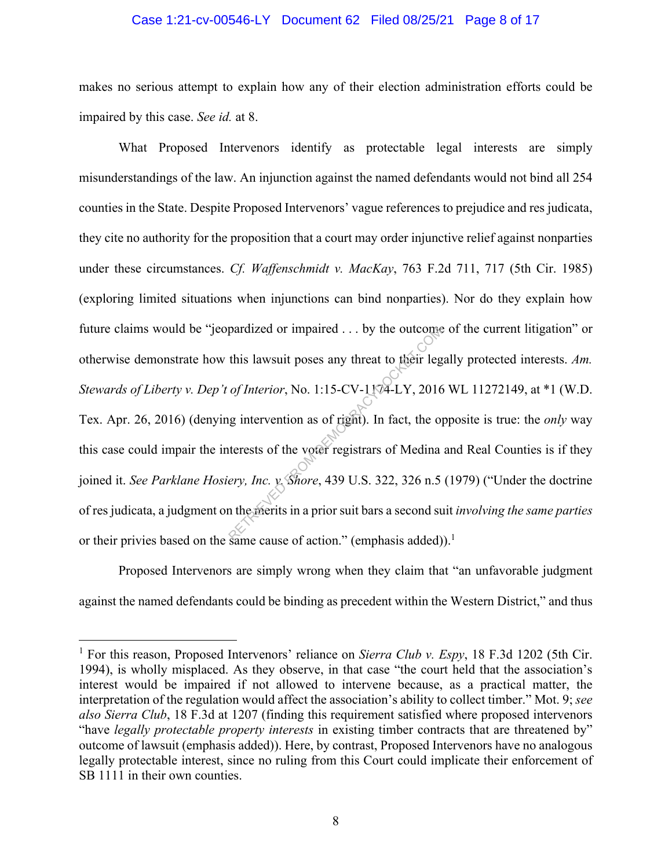#### Case 1:21-cv-00546-LY Document 62 Filed 08/25/21 Page 8 of 17

makes no serious attempt to explain how any of their election administration efforts could be impaired by this case. *See id.* at 8.

What Proposed Intervenors identify as protectable legal interests are simply misunderstandings of the law. An injunction against the named defendants would not bind all 254 counties in the State. Despite Proposed Intervenors' vague references to prejudice and res judicata, they cite no authority for the proposition that a court may order injunctive relief against nonparties under these circumstances. *Cf. Waffenschmidt v. MacKay*, 763 F.2d 711, 717 (5th Cir. 1985) (exploring limited situations when injunctions can bind nonparties). Nor do they explain how future claims would be "jeopardized or impaired . . . by the outcome of the current litigation" or otherwise demonstrate how this lawsuit poses any threat to their legally protected interests. *Am. Stewards of Liberty v. Dep't of Interior*, No. 1:15-CV-1174-LY, 2016 WL 11272149, at \*1 (W.D. Tex. Apr. 26, 2016) (denying intervention as of right). In fact, the opposite is true: the *only* way this case could impair the interests of the voter registrars of Medina and Real Counties is if they joined it. *See Parklane Hosiery, Inc. v. Shore*, 439 U.S. 322, 326 n.5 (1979) ("Under the doctrine of res judicata, a judgment on the merits in a prior suit bars a second suit *involving the same parties* or their privies based on the same cause of action." (emphasis added)).<sup>1</sup> pardized or impaired ... by the outcome<br>this lawsuit poses any threat to their leg<br>of Interior, No. 1:15-CV-1174-LY, 2016<br>ig intervention as of right). In fact, the or<br>terests of the voter registrars of Medina<br>ery, Inc. y

Proposed Intervenors are simply wrong when they claim that "an unfavorable judgment against the named defendants could be binding as precedent within the Western District," and thus

<sup>&</sup>lt;sup>1</sup> For this reason, Proposed Intervenors' reliance on *Sierra Club v. Espy*, 18 F.3d 1202 (5th Cir. 1994), is wholly misplaced. As they observe, in that case "the court held that the association's interest would be impaired if not allowed to intervene because, as a practical matter, the interpretation of the regulation would affect the association's ability to collect timber." Mot. 9; *see also Sierra Club*, 18 F.3d at 1207 (finding this requirement satisfied where proposed intervenors "have *legally protectable property interests* in existing timber contracts that are threatened by" outcome of lawsuit (emphasis added)). Here, by contrast, Proposed Intervenors have no analogous legally protectable interest, since no ruling from this Court could implicate their enforcement of SB 1111 in their own counties.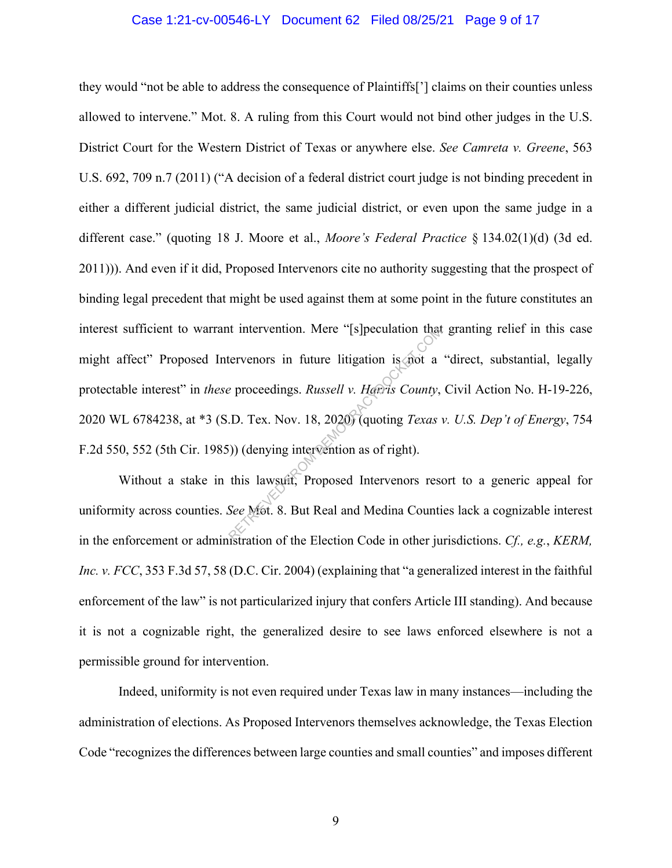#### Case 1:21-cv-00546-LY Document 62 Filed 08/25/21 Page 9 of 17

they would "not be able to address the consequence of Plaintiffs['] claims on their counties unless allowed to intervene." Mot. 8. A ruling from this Court would not bind other judges in the U.S. District Court for the Western District of Texas or anywhere else. *See Camreta v. Greene*, 563 U.S. 692, 709 n.7 (2011) ("A decision of a federal district court judge is not binding precedent in either a different judicial district, the same judicial district, or even upon the same judge in a different case." (quoting 18 J. Moore et al., *Moore's Federal Practice* § 134.02(1)(d) (3d ed. 2011))). And even if it did, Proposed Intervenors cite no authority suggesting that the prospect of binding legal precedent that might be used against them at some point in the future constitutes an interest sufficient to warrant intervention. Mere "[s]peculation that granting relief in this case might affect" Proposed Intervenors in future litigation is not a "direct, substantial, legally protectable interest" in *these* proceedings. *Russell v. Harris County*, Civil Action No. H-19-226, 2020 WL 6784238, at \*3 (S.D. Tex. Nov. 18, 2020) (quoting *Texas v. U.S. Dep't of Energy*, 754 F.2d 550, 552 (5th Cir. 1985)) (denying intervention as of right). Intervention. Mere "[s]peculation that<br>tervenors in future litigation is not a<br>e proceedings. Russell v. Harris County,<br>D. Tex. Nov. 18, 2020) (quoting Texas<br>(i)) (denying intervention as of right).<br>this lawsuit, Proposed

Without a stake in this lawsuit, Proposed Intervenors resort to a generic appeal for uniformity across counties. *See* Mot. 8. But Real and Medina Counties lack a cognizable interest in the enforcement or administration of the Election Code in other jurisdictions. *Cf., e.g.*, *KERM, Inc. v. FCC*, 353 F.3d 57, 58 (D.C. Cir. 2004) (explaining that "a generalized interest in the faithful enforcement of the law" is not particularized injury that confers Article III standing). And because it is not a cognizable right, the generalized desire to see laws enforced elsewhere is not a permissible ground for intervention.

Indeed, uniformity is not even required under Texas law in many instances—including the administration of elections. As Proposed Intervenors themselves acknowledge, the Texas Election Code "recognizes the differences between large counties and small counties" and imposes different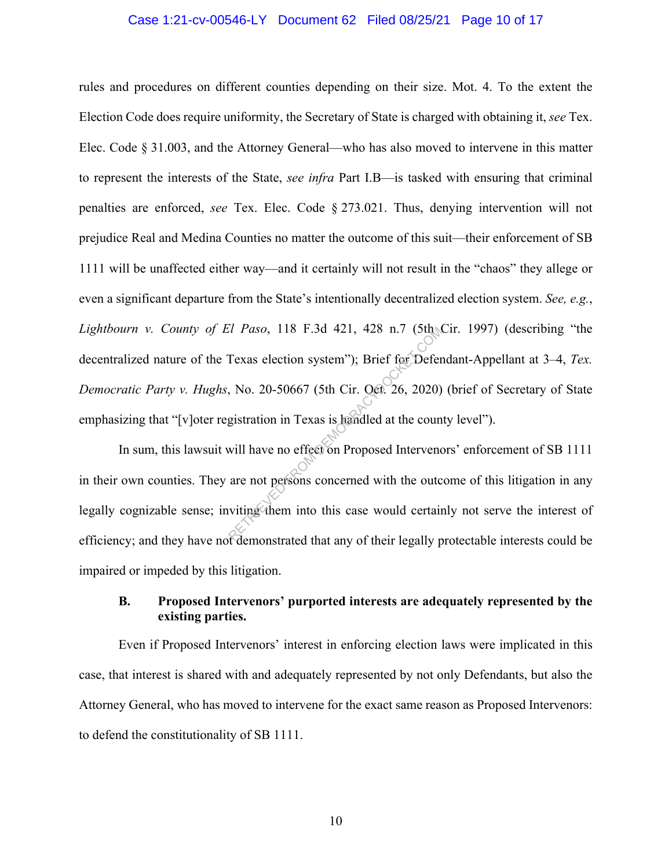#### Case 1:21-cv-00546-LY Document 62 Filed 08/25/21 Page 10 of 17

rules and procedures on different counties depending on their size. Mot. 4. To the extent the Election Code does require uniformity, the Secretary of State is charged with obtaining it, *see* Tex. Elec. Code § 31.003, and the Attorney General—who has also moved to intervene in this matter to represent the interests of the State, *see infra* Part I.B—is tasked with ensuring that criminal penalties are enforced, *see* Tex. Elec. Code § 273.021. Thus, denying intervention will not prejudice Real and Medina Counties no matter the outcome of this suit—their enforcement of SB 1111 will be unaffected either way—and it certainly will not result in the "chaos" they allege or even a significant departure from the State's intentionally decentralized election system. *See, e.g.*, *Lightbourn v. County of El Paso*, 118 F.3d 421, 428 n.7 (5th Cir. 1997) (describing "the decentralized nature of the Texas election system"); Brief for Defendant-Appellant at 3–4, *Tex. Democratic Party v. Hughs*, No. 20-50667 (5th Cir. Oct. 26, 2020) (brief of Secretary of State emphasizing that "[v]oter registration in Texas is handled at the county level"). Rexas election system"); Brief for Defer<br>
Rexas election system"); Brief for Defer<br>
No. 20-50667 (5th Cir. Oct. 26, 2020)<br>
gistration in Texas is handled at the coun<br>
will have no effect on Proposed Intervent<br>
are not per

In sum, this lawsuit will have no effect on Proposed Intervenors' enforcement of SB 1111 in their own counties. They are not persons concerned with the outcome of this litigation in any legally cognizable sense; inviting them into this case would certainly not serve the interest of efficiency; and they have not demonstrated that any of their legally protectable interests could be impaired or impeded by this litigation.

### **B. Proposed Intervenors' purported interests are adequately represented by the existing parties.**

Even if Proposed Intervenors' interest in enforcing election laws were implicated in this case, that interest is shared with and adequately represented by not only Defendants, but also the Attorney General, who has moved to intervene for the exact same reason as Proposed Intervenors: to defend the constitutionality of SB 1111.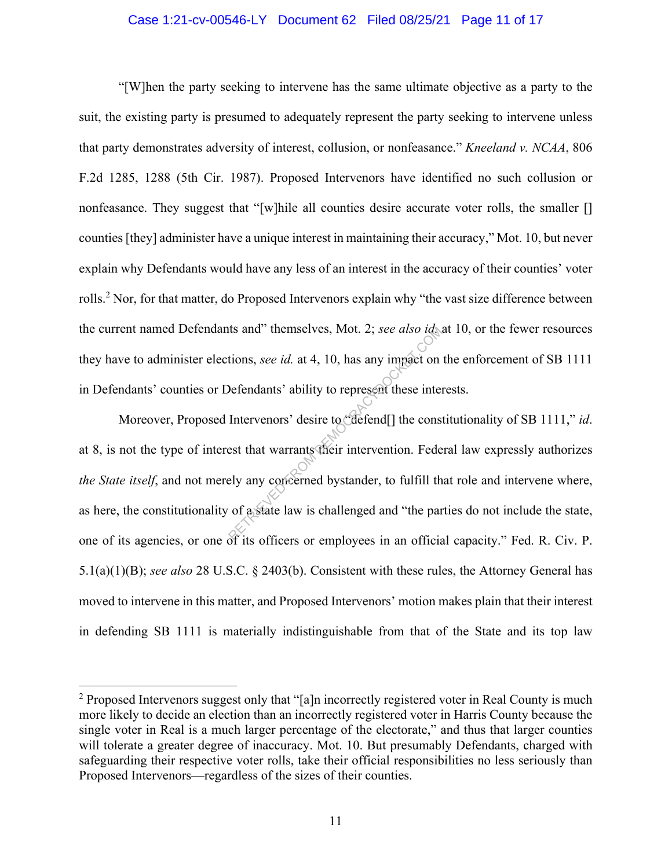#### Case 1:21-cv-00546-LY Document 62 Filed 08/25/21 Page 11 of 17

"[W]hen the party seeking to intervene has the same ultimate objective as a party to the suit, the existing party is presumed to adequately represent the party seeking to intervene unless that party demonstrates adversity of interest, collusion, or nonfeasance." *Kneeland v. NCAA*, 806 F.2d 1285, 1288 (5th Cir. 1987). Proposed Intervenors have identified no such collusion or nonfeasance. They suggest that "[w]hile all counties desire accurate voter rolls, the smaller [] counties [they] administer have a unique interest in maintaining their accuracy," Mot. 10, but never explain why Defendants would have any less of an interest in the accuracy of their counties' voter rolls.<sup>2</sup> Nor, for that matter, do Proposed Intervenors explain why "the vast size difference between the current named Defendants and" themselves, Mot. 2; *see also id.* at 10, or the fewer resources they have to administer elections, *see id.* at 4, 10, has any impact on the enforcement of SB 1111 in Defendants' counties or Defendants' ability to represent these interests.

Moreover, Proposed Intervenors' desire to "defend[] the constitutionality of SB 1111," *id*. at 8, is not the type of interest that warrants their intervention. Federal law expressly authorizes *the State itself*, and not merely any concerned bystander, to fulfill that role and intervene where, as here, the constitutionality of a state law is challenged and "the parties do not include the state, one of its agencies, or one of its officers or employees in an official capacity." Fed. R. Civ. P. 5.1(a)(1)(B); *see also* 28 U.S.C. § 2403(b). Consistent with these rules, the Attorney General has moved to intervene in this matter, and Proposed Intervenors' motion makes plain that their interest in defending SB 1111 is materially indistinguishable from that of the State and its top law Itions, *see id.* at 4, 10, has any impact on<br>Defendants' ability to represent these intervenors' desire to "defend[] the consest that warrants their intervention. Federally any concerned by stander, to fulfill the of a st

<sup>&</sup>lt;sup>2</sup> Proposed Intervenors suggest only that "[a]n incorrectly registered voter in Real County is much more likely to decide an election than an incorrectly registered voter in Harris County because the single voter in Real is a much larger percentage of the electorate," and thus that larger counties will tolerate a greater degree of inaccuracy. Mot. 10. But presumably Defendants, charged with safeguarding their respective voter rolls, take their official responsibilities no less seriously than Proposed Intervenors—regardless of the sizes of their counties.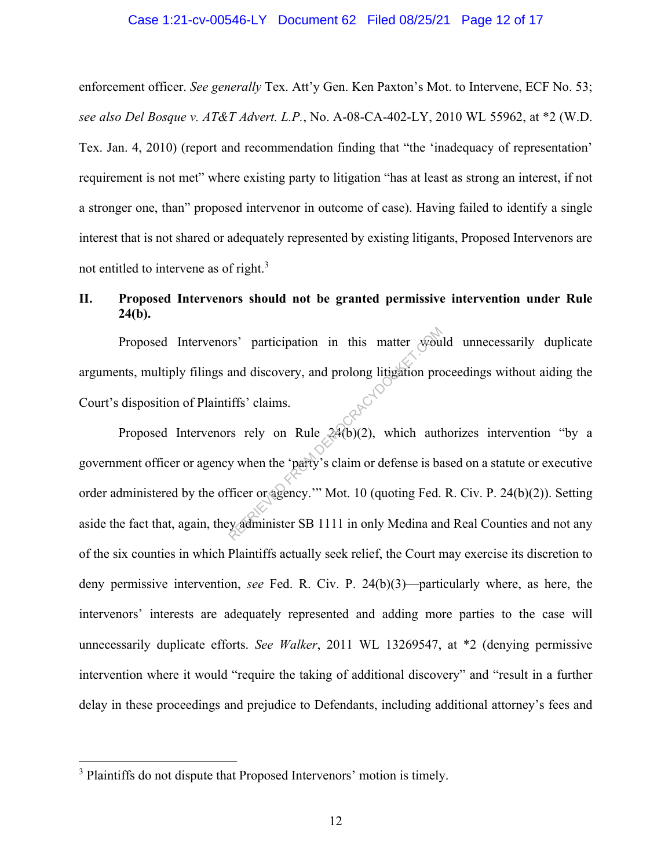#### Case 1:21-cv-00546-LY Document 62 Filed 08/25/21 Page 12 of 17

enforcement officer. *See generally* Tex. Att'y Gen. Ken Paxton's Mot. to Intervene, ECF No. 53; *see also Del Bosque v. AT&T Advert. L.P.*, No. A-08-CA-402-LY, 2010 WL 55962, at \*2 (W.D. Tex. Jan. 4, 2010) (report and recommendation finding that "the 'inadequacy of representation' requirement is not met" where existing party to litigation "has at least as strong an interest, if not a stronger one, than" proposed intervenor in outcome of case). Having failed to identify a single interest that is not shared or adequately represented by existing litigants, Proposed Intervenors are not entitled to intervene as of right.<sup>3</sup>

### **II. Proposed Intervenors should not be granted permissive intervention under Rule 24(b).**

Proposed Intervenors' participation in this matter would unnecessarily duplicate arguments, multiply filings and discovery, and prolong litigation proceedings without aiding the Court's disposition of Plaintiffs' claims.

Proposed Intervenors rely on Rule  $24(b)(2)$ , which authorizes intervention "by a government officer or agency when the 'party's claim or defense is based on a statute or executive order administered by the officer or agency.'" Mot. 10 (quoting Fed. R. Civ. P. 24(b)(2)). Setting aside the fact that, again, they administer SB 1111 in only Medina and Real Counties and not any of the six counties in which Plaintiffs actually seek relief, the Court may exercise its discretion to deny permissive intervention, *see* Fed. R. Civ. P. 24(b)(3)—particularly where, as here, the intervenors' interests are adequately represented and adding more parties to the case will unnecessarily duplicate efforts. *See Walker*, 2011 WL 13269547, at \*2 (denying permissive intervention where it would "require the taking of additional discovery" and "result in a further delay in these proceedings and prejudice to Defendants, including additional attorney's fees and rs' participation in this matter wealth<br>and discovery, and prolong litigation pro<br>iffs' claims.<br>The results of Rule 24(b)(2), which author<br>when the 'party's claim or defense is batter or agency." Mot. 10 (quoting Fed.<br>Expa

<sup>&</sup>lt;sup>3</sup> Plaintiffs do not dispute that Proposed Intervenors' motion is timely.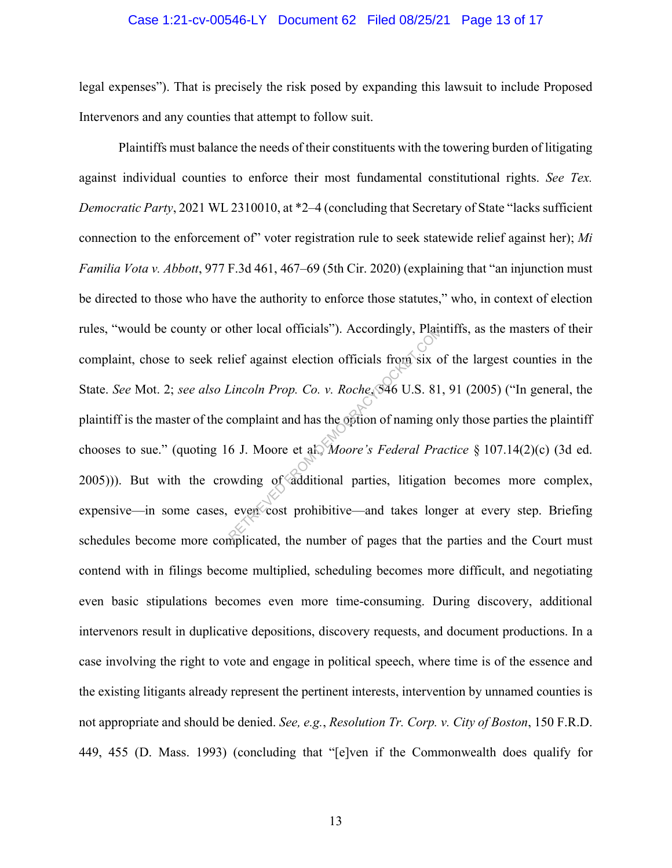#### Case 1:21-cv-00546-LY Document 62 Filed 08/25/21 Page 13 of 17

legal expenses"). That is precisely the risk posed by expanding this lawsuit to include Proposed Intervenors and any counties that attempt to follow suit.

Plaintiffs must balance the needs of their constituents with the towering burden of litigating against individual counties to enforce their most fundamental constitutional rights. *See Tex. Democratic Party*, 2021 WL 2310010, at \*2–4 (concluding that Secretary of State "lacks sufficient connection to the enforcement of" voter registration rule to seek statewide relief against her); *Mi Familia Vota v. Abbott*, 977 F.3d 461, 467–69 (5th Cir. 2020) (explaining that "an injunction must be directed to those who have the authority to enforce those statutes," who, in context of election rules, "would be county or other local officials"). Accordingly, Plaintiffs, as the masters of their complaint, chose to seek relief against election officials from six of the largest counties in the State. *See* Mot. 2; *see also Lincoln Prop. Co. v. Roche*, 546 U.S. 81, 91 (2005) ("In general, the plaintiff is the master of the complaint and has the option of naming only those parties the plaintiff chooses to sue." (quoting 16 J. Moore et al., *Moore's Federal Practice* § 107.14(2)(c) (3d ed. 2005))). But with the crowding of additional parties, litigation becomes more complex, expensive—in some cases, even cost prohibitive—and takes longer at every step. Briefing schedules become more complicated, the number of pages that the parties and the Court must contend with in filings become multiplied, scheduling becomes more difficult, and negotiating even basic stipulations becomes even more time-consuming. During discovery, additional intervenors result in duplicative depositions, discovery requests, and document productions. In a case involving the right to vote and engage in political speech, where time is of the essence and the existing litigants already represent the pertinent interests, intervention by unnamed counties is not appropriate and should be denied. *See, e.g.*, *Resolution Tr. Corp. v. City of Boston*, 150 F.R.D. 449, 455 (D. Mass. 1993) (concluding that "[e]ven if the Commonwealth does qualify for of the Islam Detection of ficials from Six of Lincoln Prop. Co. v. Roche, \$96 U.S. 81<br>Cincoln Prop. Co. v. Roche, \$96 U.S. 81<br>complaint and has the option of naming of<br>6 J. Moore et al., *Moore's Federal Pra*<br>weding of add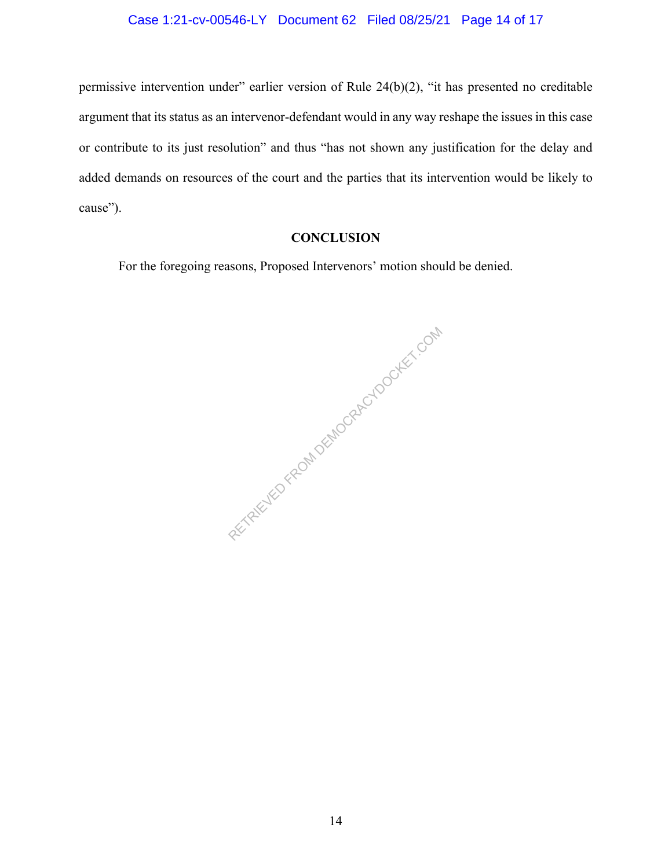### Case 1:21-cv-00546-LY Document 62 Filed 08/25/21 Page 14 of 17

permissive intervention under" earlier version of Rule 24(b)(2), "it has presented no creditable argument that its status as an intervenor-defendant would in any way reshape the issues in this case or contribute to its just resolution" and thus "has not shown any justification for the delay and added demands on resources of the court and the parties that its intervention would be likely to cause").

## **CONCLUSION**

For the foregoing reasons, Proposed Intervenors' motion should be denied.

RETRIEVED FROM DEMOCRACYDOCKET.COM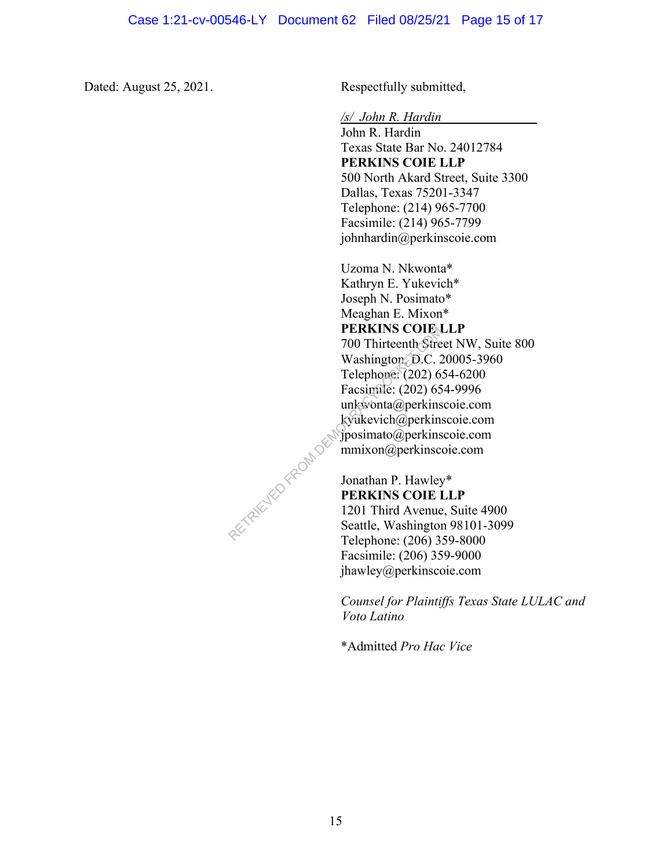Dated: August 25, 2021. Respectfully submitted,

*/s/ John R. Hardin* 

John R. Hardin Texas State Bar No. 24012784 **PERKINS COIE LLP**  500 North Akard Street, Suite 3300 Dallas, Texas 75201-3347 Telephone: (214) 965-7700 Facsimile: (214) 965-7799 johnhardin@perkinscoie.com

Uzoma N. Nkwonta\* Kathryn E. Yukevich\* Joseph N. Posimato\* Meaghan E. Mixon\* **PERKINS COIE LLP** 700 Thirteenth Street NW, Suite 800 Washington, D.C. 20005-3960 Telephone: (202) 654-6200 Facsimile: (202) 654-9996 unkwonta@perkinscoie.com kyukevich@perkinscoie.com jposimato@perkinscoie.com mmixon@perkinscoie.com

Jonathan P. Hawley\* **PERKINS COIE LLP**  1201 Third Avenue, Suite 4900 Seattle, Washington 98101-3099 Telephone: (206) 359-8000 Facsimile: (206) 359-9000 jhawley@perkinscoie.com

*Counsel for Plaintiffs Texas State LULAC and Voto Latino* 

\*Admitted *Pro Hac Vice*

RETRIEVED FROM DES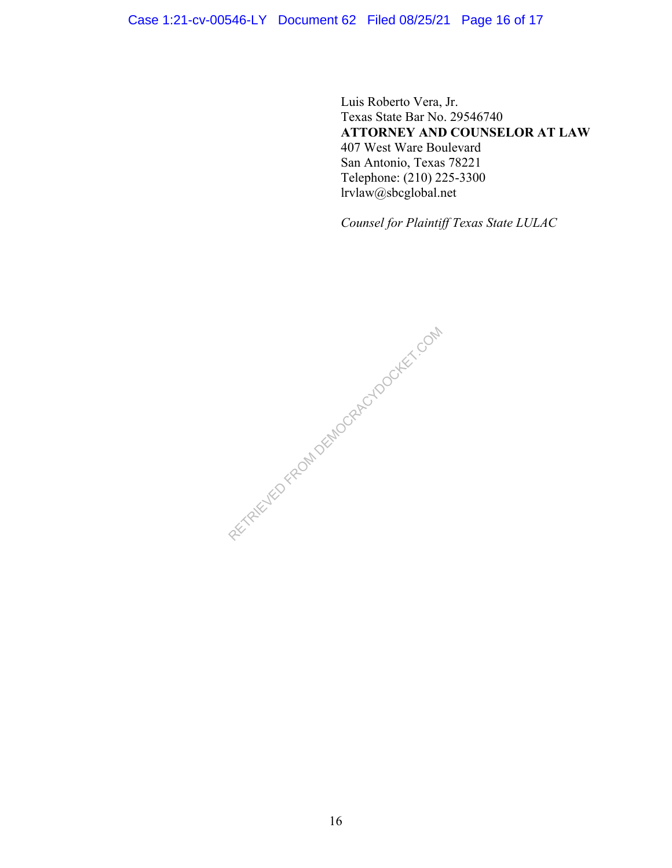## Case 1:21-cv-00546-LY Document 62 Filed 08/25/21 Page 16 of 17

Luis Roberto Vera, Jr. Texas State Bar No. 29546740 **ATTORNEY AND COUNSELOR AT LAW** 407 West Ware Boulevard San Antonio, Texas 78221 Telephone: (210) 225-3300 lrvlaw@sbcglobal.net

*Counsel for Plaintiff Texas State LULAC*

RECTRICIAL PROM DEMOCRACYDOCKET.COM